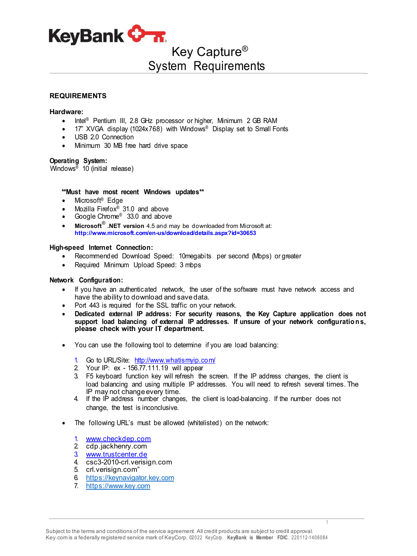

## Key Capture® System Requirements \_

### **REQUIREMENTS**

#### **Hardware:**

- Intel<sup>®</sup> Pentium III, 2.8 GHz processor or higher, Minimum 2 GB RAM
- 17" XVGA display (1024x768) with Windows® Display set to Small Fonts
- USB 2.0 Connection
- Minimum 30 MB free hard drive space

#### **Operating System:**

Windows<sup>®</sup> 10 (initial release)

#### **\*\*Must have most recent Windows updates\*\***

- Microsoft<sup>®</sup> Edge
- Mozilla Firefox® 31.0 and above
- Google Chrome® 33.0 and above
- **Microsoft**® **.NET version** 4.5 and may be downloaded from Microsoft at: **[http://www.microsoft.com/en](http://www.microsoft.com/en-)-us/download/details.aspx?id=30653**

#### **High-speed Internet Connection:**

- Recommended Download Speed: 10megabits per second (Mbps) or greater
- Required Minimum Upload Speed: 3 mbps

#### **Network Configuration:**

- If you have an authenticated network, the user of the software must have network access and have the ability to download and savedata.
- Port 443 is required for the SSL traffic on your network.
- **Dedicated external IP address: For security reasons, the Key Capture application does not** support load balancing of external IP addresses. If unsure of your network configurations, **please check with your IT department.**
- You can use the following tool to determine if you are load balancing:
	- 1. Go to URL/Site: <http://www.whatismyip.com/>
	- 2. Your IP: ex 156.77.111.19 will appear
	- 3. F5 keyboard function key will refresh the screen. If the IP address changes, the client is load balancing and using multiple IP addresses. You will need to refresh several times. The IP may not change every time.
	- 4. If the IP address number changes, the client is load-balancing. If the number does not change, the test is inconclusive.
- The following URL's must be allowed (whitelisted) on the network:
	- 1. [www.checkdep.com](http://www.checkdep.com/)
	- 2. cdp.jackhenry.com
	- 3. [www.trustcenter.de](http://www.trustcenter.de/)
	- 4. csc3-2010-crl.verisign.com
	- 5. crl.verisign.com"
	- 6. [https://keynavigator.key.com](https://keynavigator.key.com/)
	- 7. [https://www.key.com](https://www.key.com/)